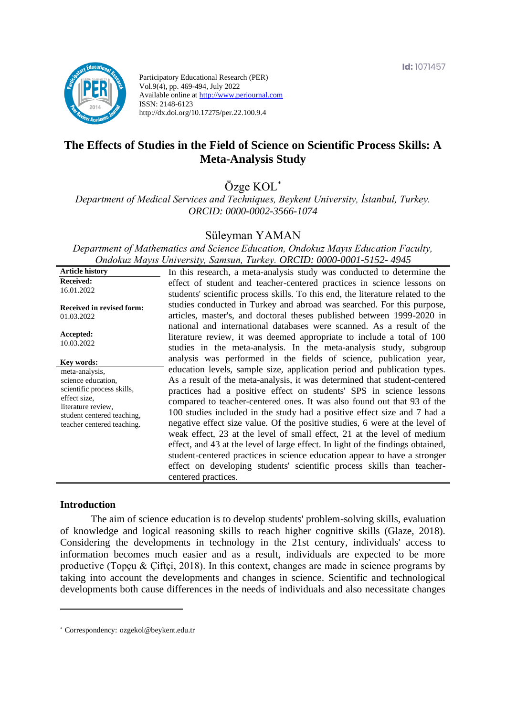

Participatory Educational Research (PER) Vol.9(4), pp. 469-494, July 2022 Available online at http://www.perjournal.com ISSN: 2148-6123 http://dx.doi.org/10.17275/per.22.100.9.4

# **The Effects of Studies in the Field of Science on Scientific Process Skills: A Meta-Analysis Study**

Özge KOL\*

*Department of Medical Services and Techniques, Beykent University, İstanbul, Turkey. ORCID: 0000-0002-3566-1074*

### Süleyman YAMAN

*Department of Mathematics and Science Education, Ondokuz Mayıs Education Faculty, Ondokuz Mayıs University, Samsun, Turkey. ORCID: 0000-0001-5152- 4945*

| <b>Article history</b>                                                                                                                                               | In this research, a meta-analysis study was conducted to determine the                                                                                                                                                                                                                                                                                                                                                                                                                                                                                                                                                                                                                                                                                                                                         |
|----------------------------------------------------------------------------------------------------------------------------------------------------------------------|----------------------------------------------------------------------------------------------------------------------------------------------------------------------------------------------------------------------------------------------------------------------------------------------------------------------------------------------------------------------------------------------------------------------------------------------------------------------------------------------------------------------------------------------------------------------------------------------------------------------------------------------------------------------------------------------------------------------------------------------------------------------------------------------------------------|
| <b>Received:</b><br>16.01.2022                                                                                                                                       | effect of student and teacher-centered practices in science lessons on<br>students' scientific process skills. To this end, the literature related to the                                                                                                                                                                                                                                                                                                                                                                                                                                                                                                                                                                                                                                                      |
| <b>Received in revised form:</b><br>01.03.2022                                                                                                                       | studies conducted in Turkey and abroad was searched. For this purpose,<br>articles, master's, and doctoral theses published between 1999-2020 in<br>national and international databases were scanned. As a result of the                                                                                                                                                                                                                                                                                                                                                                                                                                                                                                                                                                                      |
| Accepted:<br>10.03.2022                                                                                                                                              | literature review, it was deemed appropriate to include a total of 100<br>studies in the meta-analysis. In the meta-analysis study, subgroup                                                                                                                                                                                                                                                                                                                                                                                                                                                                                                                                                                                                                                                                   |
| Key words:                                                                                                                                                           | analysis was performed in the fields of science, publication year,                                                                                                                                                                                                                                                                                                                                                                                                                                                                                                                                                                                                                                                                                                                                             |
| meta-analysis,<br>science education,<br>scientific process skills,<br>effect size,<br>literature review.<br>student centered teaching,<br>teacher centered teaching. | education levels, sample size, application period and publication types.<br>As a result of the meta-analysis, it was determined that student-centered<br>practices had a positive effect on students' SPS in science lessons<br>compared to teacher-centered ones. It was also found out that 93 of the<br>100 studies included in the study had a positive effect size and 7 had a<br>negative effect size value. Of the positive studies, 6 were at the level of<br>weak effect, 23 at the level of small effect, 21 at the level of medium<br>effect, and 43 at the level of large effect. In light of the findings obtained,<br>student-centered practices in science education appear to have a stronger<br>effect on developing students' scientific process skills than teacher-<br>centered practices. |

#### **Introduction**

The aim of science education is to develop students' problem-solving skills, evaluation of knowledge and logical reasoning skills to reach higher cognitive skills (Glaze, 2018). Considering the developments in technology in the 21st century, individuals' access to information becomes much easier and as a result, individuals are expected to be more productive (Topçu & Çiftçi, 2018). In this context, changes are made in science programs by taking into account the developments and changes in science. Scientific and technological developments both cause differences in the needs of individuals and also necessitate changes

<sup>\*</sup> [Correspondency:](mailto:Correspondency:) ozgekol@beykent.edu.tr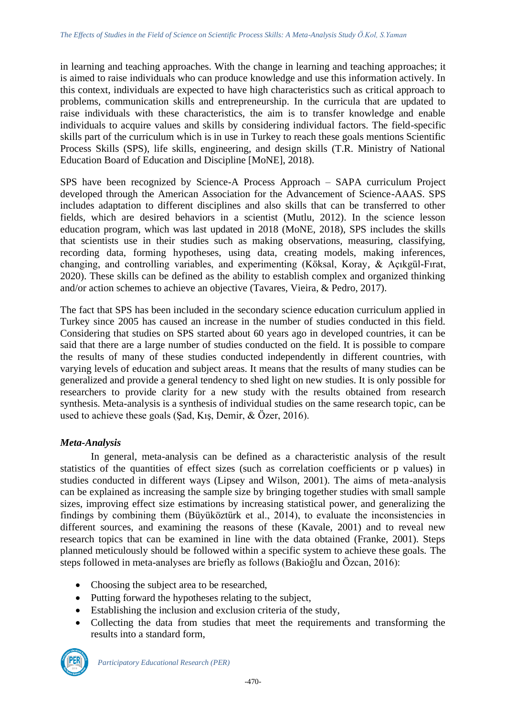in learning and teaching approaches. With the change in learning and teaching approaches; it is aimed to raise individuals who can produce knowledge and use this information actively. In this context, individuals are expected to have high characteristics such as critical approach to problems, communication skills and entrepreneurship. In the curricula that are updated to raise individuals with these characteristics, the aim is to transfer knowledge and enable individuals to acquire values and skills by considering individual factors. The field-specific skills part of the curriculum which is in use in Turkey to reach these goals mentions Scientific Process Skills (SPS), life skills, engineering, and design skills (T.R. Ministry of National Education Board of Education and Discipline [MoNE], 2018).

SPS have been recognized by Science-A Process Approach – SAPA curriculum Project developed through the American Association for the Advancement of Science-AAAS. SPS includes adaptation to different disciplines and also skills that can be transferred to other fields, which are desired behaviors in a scientist (Mutlu, 2012). In the science lesson education program, which was last updated in 2018 (MoNE, 2018), SPS includes the skills that scientists use in their studies such as making observations, measuring, classifying, recording data, forming hypotheses, using data, creating models, making inferences, changing, and controlling variables, and experimenting (Köksal, Koray, & Açıkgül-Fırat, 2020). These skills can be defined as the ability to establish complex and organized thinking and/or action schemes to achieve an objective (Tavares, Vieira, & Pedro, 2017).

The fact that SPS has been included in the secondary science education curriculum applied in Turkey since 2005 has caused an increase in the number of studies conducted in this field. Considering that studies on SPS started about 60 years ago in developed countries, it can be said that there are a large number of studies conducted on the field. It is possible to compare the results of many of these studies conducted independently in different countries, with varying levels of education and subject areas. It means that the results of many studies can be generalized and provide a general tendency to shed light on new studies. It is only possible for researchers to provide clarity for a new study with the results obtained from research synthesis. Meta-analysis is a synthesis of individual studies on the same research topic, can be used to achieve these goals (Şad, Kış, Demir, & Özer, 2016).

# *Meta-Analysis*

In general, meta-analysis can be defined as a characteristic analysis of the result statistics of the quantities of effect sizes (such as correlation coefficients or p values) in studies conducted in different ways (Lipsey and Wilson, 2001). The aims of meta-analysis can be explained as increasing the sample size by bringing together studies with small sample sizes, improving effect size estimations by increasing statistical power, and generalizing the findings by combining them (Büyüköztürk et al., 2014), to evaluate the inconsistencies in different sources, and examining the reasons of these (Kavale, 2001) and to reveal new research topics that can be examined in line with the data obtained (Franke, 2001). Steps planned meticulously should be followed within a specific system to achieve these goals. The steps followed in meta-analyses are briefly as follows (Bakioğlu and Özcan, 2016):

- Choosing the subject area to be researched,
- Putting forward the hypotheses relating to the subject,
- Establishing the inclusion and exclusion criteria of the study,
- Collecting the data from studies that meet the requirements and transforming the results into a standard form,

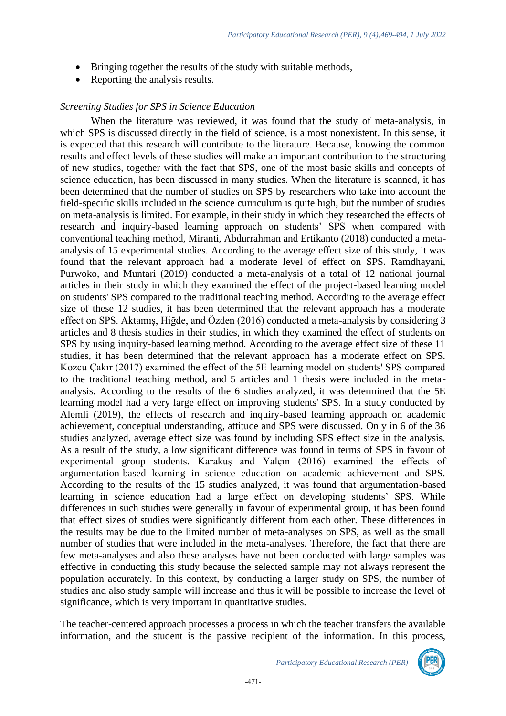- Bringing together the results of the study with suitable methods,
- Reporting the analysis results.

#### *Screening Studies for SPS in Science Education*

When the literature was reviewed, it was found that the study of meta-analysis, in which SPS is discussed directly in the field of science, is almost nonexistent. In this sense, it is expected that this research will contribute to the literature. Because, knowing the common results and effect levels of these studies will make an important contribution to the structuring of new studies, together with the fact that SPS, one of the most basic skills and concepts of science education, has been discussed in many studies. When the literature is scanned, it has been determined that the number of studies on SPS by researchers who take into account the field-specific skills included in the science curriculum is quite high, but the number of studies on meta-analysis is limited. For example, in their study in which they researched the effects of research and inquiry-based learning approach on students' SPS when compared with conventional teaching method, Miranti, Abdurrahman and Ertikanto (2018) conducted a metaanalysis of 15 experimental studies. According to the average effect size of this study, it was found that the relevant approach had a moderate level of effect on SPS. Ramdhayani, Purwoko, and Muntari (2019) conducted a meta-analysis of a total of 12 national journal articles in their study in which they examined the effect of the project-based learning model on students' SPS compared to the traditional teaching method. According to the average effect size of these 12 studies, it has been determined that the relevant approach has a moderate effect on SPS. Aktamış, Hiğde, and Özden (2016) conducted a meta-analysis by considering 3 articles and 8 thesis studies in their studies, in which they examined the effect of students on SPS by using inquiry-based learning method. According to the average effect size of these 11 studies, it has been determined that the relevant approach has a moderate effect on SPS. Kozcu Çakır (2017) examined the effect of the 5E learning model on students' SPS compared to the traditional teaching method, and 5 articles and 1 thesis were included in the metaanalysis. According to the results of the 6 studies analyzed, it was determined that the 5E learning model had a very large effect on improving students' SPS. In a study conducted by Alemli (2019), the effects of research and inquiry-based learning approach on academic achievement, conceptual understanding, attitude and SPS were discussed. Only in 6 of the 36 studies analyzed, average effect size was found by including SPS effect size in the analysis. As a result of the study, a low significant difference was found in terms of SPS in favour of experimental group students. Karakuş and Yalçın (2016) examined the effects of argumentation-based learning in science education on academic achievement and SPS. According to the results of the 15 studies analyzed, it was found that argumentation-based learning in science education had a large effect on developing students' SPS. While differences in such studies were generally in favour of experimental group, it has been found that effect sizes of studies were significantly different from each other. These differences in the results may be due to the limited number of meta-analyses on SPS, as well as the small number of studies that were included in the meta-analyses. Therefore, the fact that there are few meta-analyses and also these analyses have not been conducted with large samples was effective in conducting this study because the selected sample may not always represent the population accurately. In this context, by conducting a larger study on SPS, the number of studies and also study sample will increase and thus it will be possible to increase the level of significance, which is very important in quantitative studies.

The teacher-centered approach processes a process in which the teacher transfers the available information, and the student is the passive recipient of the information. In this process,

*Participatory Educational Research (PER)*

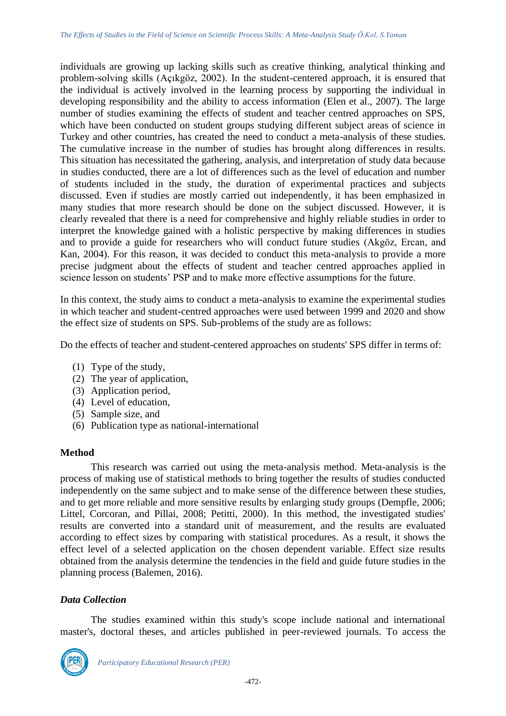individuals are growing up lacking skills such as creative thinking, analytical thinking and problem-solving skills (Açıkgöz, 2002). In the student-centered approach, it is ensured that the individual is actively involved in the learning process by supporting the individual in developing responsibility and the ability to access information (Elen et al., 2007). The large number of studies examining the effects of student and teacher centred approaches on SPS, which have been conducted on student groups studying different subject areas of science in Turkey and other countries, has created the need to conduct a meta-analysis of these studies. The cumulative increase in the number of studies has brought along differences in results. This situation has necessitated the gathering, analysis, and interpretation of study data because in studies conducted, there are a lot of differences such as the level of education and number of students included in the study, the duration of experimental practices and subjects discussed. Even if studies are mostly carried out independently, it has been emphasized in many studies that more research should be done on the subject discussed. However, it is clearly revealed that there is a need for comprehensive and highly reliable studies in order to interpret the knowledge gained with a holistic perspective by making differences in studies and to provide a guide for researchers who will conduct future studies (Akgöz, Ercan, and Kan, 2004). For this reason, it was decided to conduct this meta-analysis to provide a more precise judgment about the effects of student and teacher centred approaches applied in science lesson on students' PSP and to make more effective assumptions for the future.

In this context, the study aims to conduct a meta-analysis to examine the experimental studies in which teacher and student-centred approaches were used between 1999 and 2020 and show the effect size of students on SPS. Sub-problems of the study are as follows:

Do the effects of teacher and student-centered approaches on students' SPS differ in terms of:

- (1) Type of the study,
- (2) The year of application,
- (3) Application period,
- (4) Level of education,
- (5) Sample size, and
- (6) Publication type as national-international

# **Method**

This research was carried out using the meta-analysis method. Meta-analysis is the process of making use of statistical methods to bring together the results of studies conducted independently on the same subject and to make sense of the difference between these studies, and to get more reliable and more sensitive results by enlarging study groups (Dempfle, 2006; Littel, Corcoran, and Pillai, 2008; Petitti, 2000). In this method, the investigated studies' results are converted into a standard unit of measurement, and the results are evaluated according to effect sizes by comparing with statistical procedures. As a result, it shows the effect level of a selected application on the chosen dependent variable. Effect size results obtained from the analysis determine the tendencies in the field and guide future studies in the planning process (Balemen, 2016).

# *Data Collection*

The studies examined within this study's scope include national and international master's, doctoral theses, and articles published in peer-reviewed journals. To access the

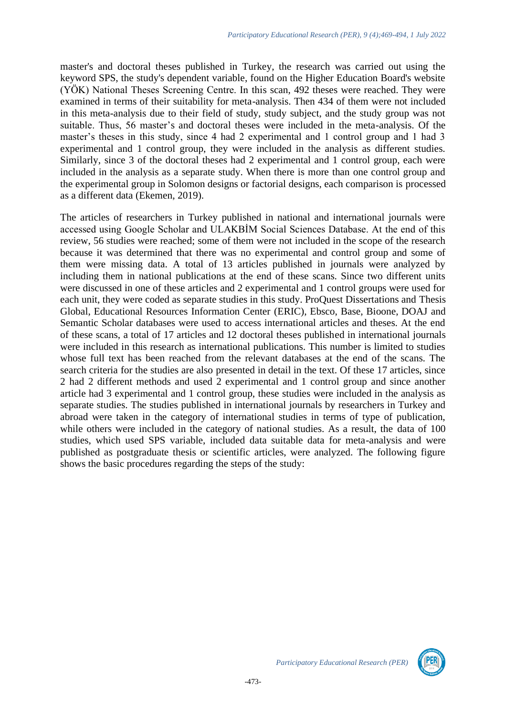master's and doctoral theses published in Turkey, the research was carried out using the keyword SPS, the study's dependent variable, found on the Higher Education Board's website (YÖK) National Theses Screening Centre. In this scan, 492 theses were reached. They were examined in terms of their suitability for meta-analysis. Then 434 of them were not included in this meta-analysis due to their field of study, study subject, and the study group was not suitable. Thus, 56 master's and doctoral theses were included in the meta-analysis. Of the master's theses in this study, since 4 had 2 experimental and 1 control group and 1 had 3 experimental and 1 control group, they were included in the analysis as different studies. Similarly, since 3 of the doctoral theses had 2 experimental and 1 control group, each were included in the analysis as a separate study. When there is more than one control group and the experimental group in Solomon designs or factorial designs, each comparison is processed as a different data (Ekemen, 2019).

The articles of researchers in Turkey published in national and international journals were accessed using Google Scholar and ULAKBİM Social Sciences Database. At the end of this review, 56 studies were reached; some of them were not included in the scope of the research because it was determined that there was no experimental and control group and some of them were missing data. A total of 13 articles published in journals were analyzed by including them in national publications at the end of these scans. Since two different units were discussed in one of these articles and 2 experimental and 1 control groups were used for each unit, they were coded as separate studies in this study. ProQuest Dissertations and Thesis Global, Educational Resources Information Center (ERIC), Ebsco, Base, Bioone, DOAJ and Semantic Scholar databases were used to access international articles and theses. At the end of these scans, a total of 17 articles and 12 doctoral theses published in international journals were included in this research as international publications. This number is limited to studies whose full text has been reached from the relevant databases at the end of the scans. The search criteria for the studies are also presented in detail in the text. Of these 17 articles, since 2 had 2 different methods and used 2 experimental and 1 control group and since another article had 3 experimental and 1 control group, these studies were included in the analysis as separate studies. The studies published in international journals by researchers in Turkey and abroad were taken in the category of international studies in terms of type of publication, while others were included in the category of national studies. As a result, the data of 100 studies, which used SPS variable, included data suitable data for meta-analysis and were published as postgraduate thesis or scientific articles, were analyzed. The following figure shows the basic procedures regarding the steps of the study:

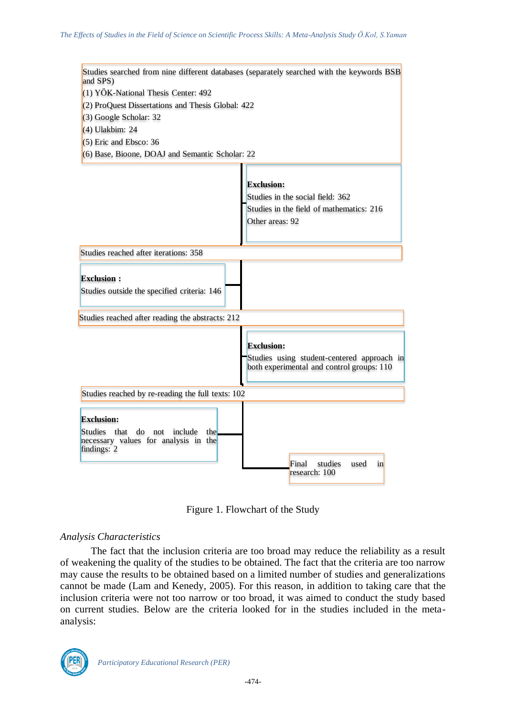

Figure 1. Flowchart of the Study

# *Analysis Characteristics*

The fact that the inclusion criteria are too broad may reduce the reliability as a result of weakening the quality of the studies to be obtained. The fact that the criteria are too narrow may cause the results to be obtained based on a limited number of studies and generalizations cannot be made (Lam and Kenedy, 2005). For this reason, in addition to taking care that the inclusion criteria were not too narrow or too broad, it was aimed to conduct the study based on current studies. Below are the criteria looked for in the studies included in the metaanalysis:

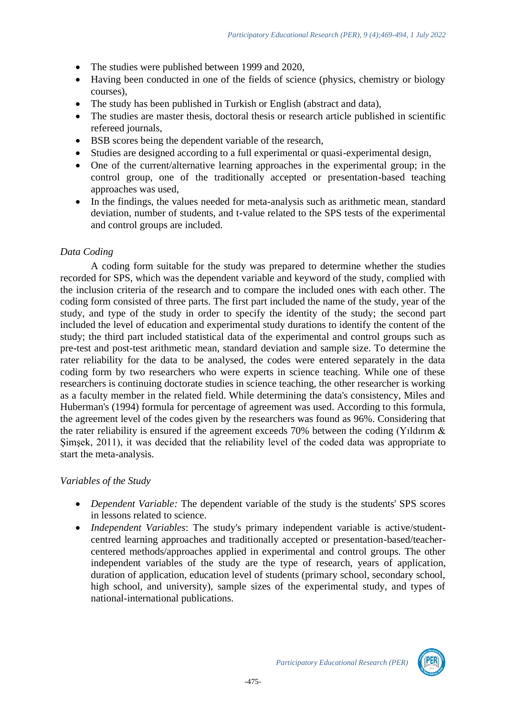- The studies were published between 1999 and 2020,
- Having been conducted in one of the fields of science (physics, chemistry or biology courses),
- The study has been published in Turkish or English (abstract and data),
- The studies are master thesis, doctoral thesis or research article published in scientific refereed journals,
- BSB scores being the dependent variable of the research,
- Studies are designed according to a full experimental or quasi-experimental design,
- One of the current/alternative learning approaches in the experimental group; in the control group, one of the traditionally accepted or presentation-based teaching approaches was used,
- In the findings, the values needed for meta-analysis such as arithmetic mean, standard deviation, number of students, and t-value related to the SPS tests of the experimental and control groups are included.

# *Data Coding*

A coding form suitable for the study was prepared to determine whether the studies recorded for SPS, which was the dependent variable and keyword of the study, complied with the inclusion criteria of the research and to compare the included ones with each other. The coding form consisted of three parts. The first part included the name of the study, year of the study, and type of the study in order to specify the identity of the study; the second part included the level of education and experimental study durations to identify the content of the study; the third part included statistical data of the experimental and control groups such as pre-test and post-test arithmetic mean, standard deviation and sample size. To determine the rater reliability for the data to be analysed, the codes were entered separately in the data coding form by two researchers who were experts in science teaching. While one of these researchers is continuing doctorate studies in science teaching, the other researcher is working as a faculty member in the related field. While determining the data's consistency, Miles and Huberman's (1994) formula for percentage of agreement was used. According to this formula, the agreement level of the codes given by the researchers was found as 96%. Considering that the rater reliability is ensured if the agreement exceeds 70% between the coding (Yıldırım & Simsek, 2011), it was decided that the reliability level of the coded data was appropriate to start the meta-analysis.

# *Variables of the Study*

- *Dependent Variable:* The dependent variable of the study is the students' SPS scores in lessons related to science.
- *Independent Variables*: The study's primary independent variable is active/studentcentred learning approaches and traditionally accepted or presentation-based/teachercentered methods/approaches applied in experimental and control groups. The other independent variables of the study are the type of research, years of application, duration of application, education level of students (primary school, secondary school, high school, and university), sample sizes of the experimental study, and types of national-international publications.

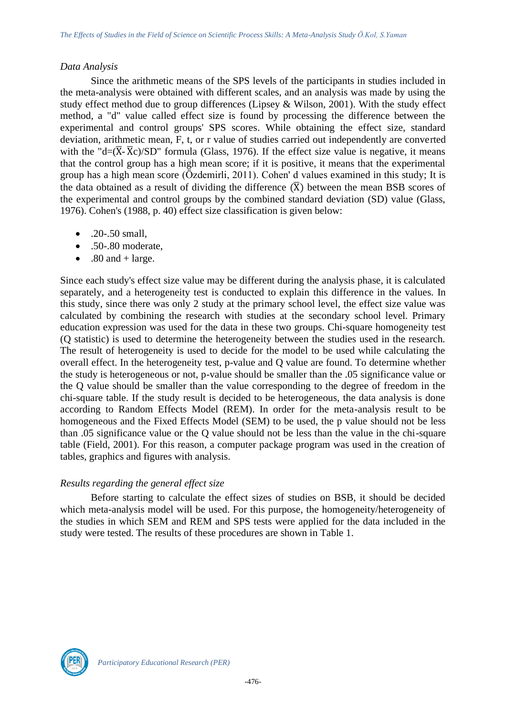### *Data Analysis*

Since the arithmetic means of the SPS levels of the participants in studies included in the meta-analysis were obtained with different scales, and an analysis was made by using the study effect method due to group differences (Lipsey & Wilson, 2001). With the study effect method, a "d" value called effect size is found by processing the difference between the experimental and control groups' SPS scores. While obtaining the effect size, standard deviation, arithmetic mean, F, t, or r value of studies carried out independently are converted with the "d= $(\overline{X} - \overline{X}c)/SD$ " formula (Glass, 1976). If the effect size value is negative, it means that the control group has a high mean score; if it is positive, it means that the experimental group has a high mean score (Özdemirli, 2011). Cohen' d values examined in this study; It is the data obtained as a result of dividing the difference  $(\overline{X})$  between the mean BSB scores of the experimental and control groups by the combined standard deviation (SD) value (Glass, 1976). Cohen's (1988, p. 40) effect size classification is given below:

- $.20 .50$  small.
- .50-.80 moderate,
- .80 and + large.

Since each study's effect size value may be different during the analysis phase, it is calculated separately, and a heterogeneity test is conducted to explain this difference in the values. In this study, since there was only 2 study at the primary school level, the effect size value was calculated by combining the research with studies at the secondary school level. Primary education expression was used for the data in these two groups. Chi-square homogeneity test (Q statistic) is used to determine the heterogeneity between the studies used in the research. The result of heterogeneity is used to decide for the model to be used while calculating the overall effect. In the heterogeneity test, p-value and Q value are found. To determine whether the study is heterogeneous or not, p-value should be smaller than the .05 significance value or the Q value should be smaller than the value corresponding to the degree of freedom in the chi-square table. If the study result is decided to be heterogeneous, the data analysis is done according to Random Effects Model (REM). In order for the meta-analysis result to be homogeneous and the Fixed Effects Model (SEM) to be used, the p value should not be less than .05 significance value or the Q value should not be less than the value in the chi-square table (Field, 2001). For this reason, a computer package program was used in the creation of tables, graphics and figures with analysis.

# *Results regarding the general effect size*

Before starting to calculate the effect sizes of studies on BSB, it should be decided which meta-analysis model will be used. For this purpose, the homogeneity/heterogeneity of the studies in which SEM and REM and SPS tests were applied for the data included in the study were tested. The results of these procedures are shown in Table 1.

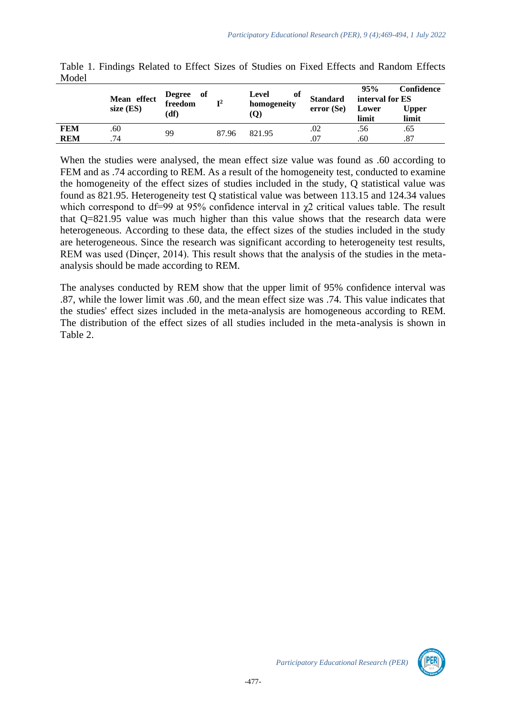|            | Mean effect<br>size $(ES)$ | Degree of<br>freedom<br>(df) | $\mathbf{T}^2$ | оf<br>Level<br>homogeneity<br>$\left( \mathbf{Q}\right)$ | <b>Standard</b><br>error(Se) | 95%<br>interval for ES<br>Lower<br>limit | Confidence<br>Upper<br>limit |
|------------|----------------------------|------------------------------|----------------|----------------------------------------------------------|------------------------------|------------------------------------------|------------------------------|
| <b>FEM</b> | .60                        |                              | 87.96          |                                                          | .02                          | .56                                      | .65                          |
| REM        | .74                        | 99                           |                | 821.95                                                   | .07                          | .60                                      | .87                          |

Table 1. Findings Related to Effect Sizes of Studies on Fixed Effects and Random Effects Model

When the studies were analysed, the mean effect size value was found as .60 according to FEM and as .74 according to REM. As a result of the homogeneity test, conducted to examine the homogeneity of the effect sizes of studies included in the study, Q statistical value was found as 821.95. Heterogeneity test Q statistical value was between 113.15 and 124.34 values which correspond to df=99 at 95% confidence interval in  $\chi$ 2 critical values table. The result that Q=821.95 value was much higher than this value shows that the research data were heterogeneous. According to these data, the effect sizes of the studies included in the study are heterogeneous. Since the research was significant according to heterogeneity test results, REM was used (Dinçer, 2014). This result shows that the analysis of the studies in the metaanalysis should be made according to REM.

The analyses conducted by REM show that the upper limit of 95% confidence interval was .87, while the lower limit was .60, and the mean effect size was .74. This value indicates that the studies' effect sizes included in the meta-analysis are homogeneous according to REM. The distribution of the effect sizes of all studies included in the meta-analysis is shown in Table 2.

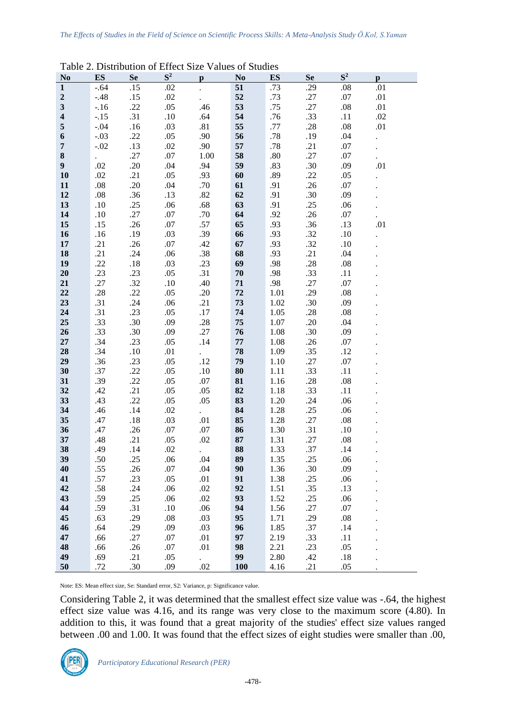| N <sub>0</sub>          | <b>ES</b> | <b>Se</b> | -----<br>$S^2$ | $\mathbf{p}$               | r anaco of Diagnos<br>N <sub>0</sub> | <b>ES</b> | <b>Se</b> | $S^2$   | $\mathbf{p}$ |  |
|-------------------------|-----------|-----------|----------------|----------------------------|--------------------------------------|-----------|-----------|---------|--------------|--|
| $\mathbf{1}$            | $-.64$    | .15       | .02            |                            | $\overline{51}$                      | .73       | .29       | .08     | .01          |  |
| $\boldsymbol{2}$        | $-.48$    | .15       | .02            |                            | 52                                   | .73       | .27       | .07     | .01          |  |
| $\overline{\mathbf{3}}$ | $-.16$    | .22       | .05            | .46                        | 53                                   | .75       | .27       | .08     | .01          |  |
| $\overline{\mathbf{4}}$ | $-.15$    | .31       | .10            | .64                        | 54                                   | .76       | .33       | .11     | .02          |  |
| 5                       | $-.04$    | .16       | .03            | .81                        | 55                                   | .77       | .28       | .08     | .01          |  |
| 6                       | $-.03$    | .22       | .05            | .90                        | 56                                   | $.78\,$   | .19       | .04     |              |  |
| $\overline{7}$          | $-.02$    | .13       | .02            | .90                        | 57                                   | $.78\,$   | .21       | .07     |              |  |
| 8                       |           | .27       | $.07\,$        | 1.00                       | 58                                   | $.80\,$   | .27       | .07     |              |  |
| $\boldsymbol{9}$        | .02       | .20       | .04            | .94                        | 59                                   | .83       | .30       | .09     | .01          |  |
|                         |           |           | .05            |                            |                                      |           | .22       |         |              |  |
| 10                      | .02       | .21       |                | .93                        | 60                                   | .89       |           | .05     |              |  |
| 11                      | $.08\,$   | .20       | .04            | .70                        | 61                                   | .91       | .26       | .07     |              |  |
| 12                      | $.08\,$   | .36       | .13            | $.82\,$                    | 62                                   | .91       | .30       | .09     |              |  |
| 13                      | .10       | .25       | .06            | .68                        | 63                                   | .91       | .25       | .06     |              |  |
| 14                      | .10       | .27       | .07            | .70                        | 64                                   | .92       | .26       | .07     |              |  |
| 15                      | .15       | .26       | .07            | .57                        | 65                                   | .93       | .36       | .13     | .01          |  |
| 16                      | .16       | .19       | .03            | .39                        | 66                                   | .93       | .32       | .10     |              |  |
| 17                      | .21       | .26       | .07            | .42                        | 67                                   | .93       | .32       | .10     |              |  |
| 18                      | .21       | .24       | .06            | .38                        | 68                                   | .93       | .21       | .04     |              |  |
| 19                      | .22       | .18       | .03            | .23                        | 69                                   | .98       | .28       | .08     |              |  |
| 20                      | .23       | .23       | .05            | .31                        | 70                                   | .98       | .33       | .11     |              |  |
| 21                      | .27       | .32       | .10            | .40                        | 71                                   | .98       | .27       | .07     |              |  |
| 22                      | .28       | .22       | .05            | .20                        | 72                                   | 1.01      | .29       | $.08\,$ |              |  |
| 23                      | .31       | .24       | .06            | .21                        | 73                                   | 1.02      | .30       | .09     |              |  |
| 24                      | .31       | .23       | .05            | .17                        | 74                                   | 1.05      | .28       | .08     |              |  |
| 25                      | .33       | .30       | .09            | .28                        | 75                                   | 1.07      | .20       | .04     |              |  |
| 26                      | .33       | .30       | .09            | .27                        | 76                                   | 1.08      | .30       | .09     |              |  |
| 27                      | .34       | .23       | .05            | .14                        | ${\bf 77}$                           | 1.08      | .26       | .07     |              |  |
| 28                      | .34       | .10       | .01            | $\mathcal{L}^{\text{max}}$ | 78                                   | 1.09      | .35       | .12     |              |  |
| 29                      | .36       | .23       | .05            | .12                        | 79                                   | 1.10      | .27       | .07     |              |  |
| 30                      | .37       | .22       | .05            | .10                        | 80                                   | 1.11      | .33       | .11     |              |  |
| 31                      | .39       | .22       | .05            | .07                        | 81                                   | 1.16      | .28       | .08     |              |  |
| 32                      | .42       | .21       | .05            | .05                        | 82                                   | 1.18      | .33       | .11     |              |  |
| 33                      | .43       | .22       | .05            | .05                        | 83                                   | 1.20      | .24       | .06     |              |  |
| 34                      | .46       | .14       | .02            |                            | 84                                   | 1.28      | .25       | .06     |              |  |
| 35                      | .47       | .18       | .03            | .01                        | 85                                   | 1.28      | .27       | .08     |              |  |
| 36                      | .47       | .26       | .07            | .07                        | 86                                   | 1.30      | .31       | .10     |              |  |
| 37                      | .48       | .21       | .05            | .02                        | 87                                   | 1.31      | .27       | .08     |              |  |
| 38                      | .49       | .14       | .02            |                            | 88                                   | 1.33      | .37       | .14     |              |  |
| 39                      | .50       | .25       | .06            | .04                        | 89                                   | 1.35      | .25       | .06     |              |  |
| 40                      | .55       | .26       | .07            | .04                        | 90                                   | 1.36      | .30       | .09     |              |  |
| 41                      | .57       | .23       | .05            | .01                        | 91                                   | 1.38      | .25       | .06     |              |  |
| 42                      | .58       | .24       | .06            | .02                        | 92                                   | 1.51      | .35       | .13     |              |  |
| 43                      | .59       | .25       | .06            | .02                        | 93                                   | 1.52      | .25       | .06     |              |  |
| 44                      | .59       | .31       | .10            | .06                        | 94                                   | 1.56      | .27       | .07     |              |  |
| 45                      | .63       | .29       | $.08\,$        | .03                        | 95                                   | 1.71      | .29       | $.08\,$ |              |  |
| 46                      | .64       | .29       | .09            | .03                        | 96                                   | 1.85      | .37       | .14     |              |  |
| 47                      | .66       | .27       | $.07$          | .01                        | 97                                   | 2.19      | .33       | .11     |              |  |
| 48                      | .66       | .26       | .07            | .01                        | 98                                   | 2.21      | .23       | .05     |              |  |
| 49                      | .69       | .21       | .05            | $\mathcal{L}^{\pm}$        | 99                                   | 2.80      | .42       | .18     |              |  |
| 50                      | .72       | .30       | .09            | .02                        | 100                                  | 4.16      | .21       | .05     |              |  |

Table 2. Distribution of Effect Size Values of Studies

Note: ES: Mean effect size, Se: Standard error, S2: Variance, p: Significance value.

Considering Table 2, it was determined that the smallest effect size value was -.64, the highest effect size value was 4.16, and its range was very close to the maximum score (4.80). In addition to this, it was found that a great majority of the studies' effect size values ranged between .00 and 1.00. It was found that the effect sizes of eight studies were smaller than .00,

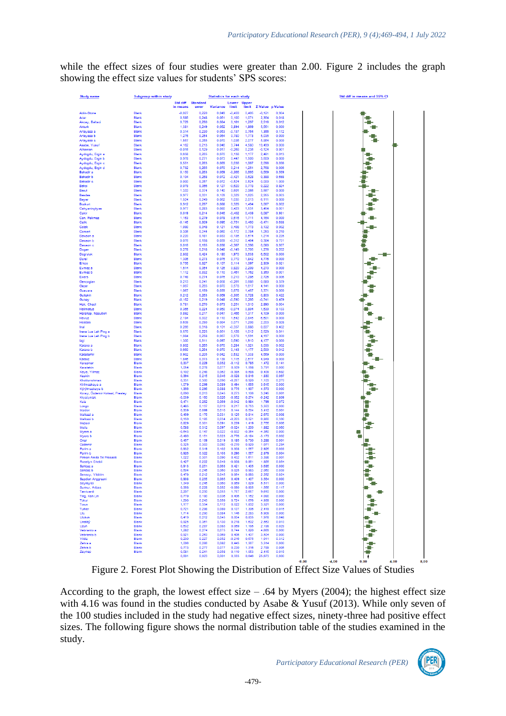while the effect sizes of four studies were greater than 2.00. Figure 2 includes the graph showing the effect size values for students' SPS scores:



Figure 2. Forest Plot Showing the Distribution of Effect Size Values of Studies

According to the graph, the lowest effect size  $-$  .64 by Myers (2004); the highest effect size with 4.16 was found in the studies conducted by Asabe & Yusuf (2013). While only seven of the 100 studies included in the study had negative effect sizes, ninety-three had positive effect sizes. The following figure shows the normal distribution table of the studies examined in the study.

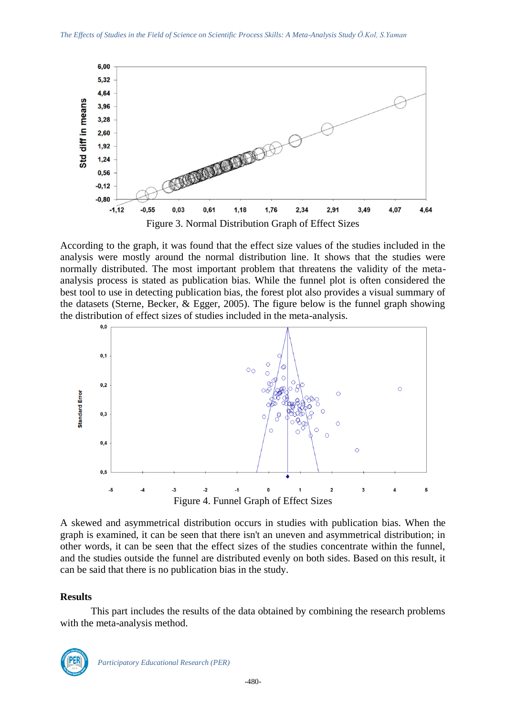

According to the graph, it was found that the effect size values of the studies included in the analysis were mostly around the normal distribution line. It shows that the studies were normally distributed. The most important problem that threatens the validity of the metaanalysis process is stated as publication bias. While the funnel plot is often considered the best tool to use in detecting publication bias, the forest plot also provides a visual summary of the datasets (Sterne, Becker, & Egger, 2005). The figure below is the funnel graph showing the distribution of effect sizes of studies included in the meta-analysis.



A skewed and asymmetrical distribution occurs in studies with publication bias. When the graph is examined, it can be seen that there isn't an uneven and asymmetrical distribution; in other words, it can be seen that the effect sizes of the studies concentrate within the funnel, and the studies outside the funnel are distributed evenly on both sides. Based on this result, it can be said that there is no publication bias in the study.

#### **Results**

This part includes the results of the data obtained by combining the research problems with the meta-analysis method.

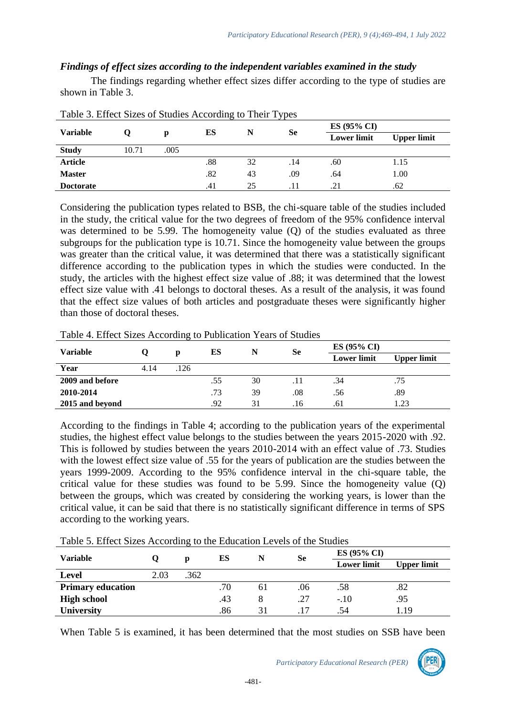# *Findings of effect sizes according to the independent variables examined in the study*

The findings regarding whether effect sizes differ according to the type of studies are shown in Table 3.

| $  -$            |       |      |     |    |           |                    |                    |  |  |  |
|------------------|-------|------|-----|----|-----------|--------------------|--------------------|--|--|--|
| <b>Variable</b>  |       |      |     |    |           | ES (95% CI)        |                    |  |  |  |
|                  |       |      | ES  | N  | <b>Se</b> | <b>Lower limit</b> | <b>Upper limit</b> |  |  |  |
| <b>Study</b>     | 10.71 | .005 |     |    |           |                    |                    |  |  |  |
| <b>Article</b>   |       |      | .88 | 32 | .14       | .60                | 1.15               |  |  |  |
| <b>Master</b>    |       |      | .82 | 43 | .09       | .64                | 1.00               |  |  |  |
| <b>Doctorate</b> |       |      | .41 | 25 |           | .21                | .62                |  |  |  |

Table 3. Effect Sizes of Studies According to Their Types

Considering the publication types related to BSB, the chi-square table of the studies included in the study, the critical value for the two degrees of freedom of the 95% confidence interval was determined to be 5.99. The homogeneity value (Q) of the studies evaluated as three subgroups for the publication type is 10.71. Since the homogeneity value between the groups was greater than the critical value, it was determined that there was a statistically significant difference according to the publication types in which the studies were conducted. In the study, the articles with the highest effect size value of .88; it was determined that the lowest effect size value with .41 belongs to doctoral theses. As a result of the analysis, it was found that the effect size values of both articles and postgraduate theses were significantly higher than those of doctoral theses.

| Table 4. Effect Sizes According to Publication Years of Studies |        |
|-----------------------------------------------------------------|--------|
|                                                                 | FC (05 |

| <b>Variable</b> |      |      | ES  | N  | Se    | $ES(95\% CI)$      |             |  |
|-----------------|------|------|-----|----|-------|--------------------|-------------|--|
|                 |      |      |     |    |       | <b>Lower limit</b> | Upper limit |  |
| Year            | 4.14 | .126 |     |    |       |                    |             |  |
| 2009 and before |      |      | .55 | 30 | . I I | .34                | .75         |  |
| 2010-2014       |      |      | .73 | 39 | .08   | .56                | .89         |  |
| 2015 and beyond |      |      | .92 | 31 | .16   | .61                | 1.23        |  |

According to the findings in Table 4; according to the publication years of the experimental studies, the highest effect value belongs to the studies between the years 2015-2020 with .92. This is followed by studies between the years 2010-2014 with an effect value of .73. Studies with the lowest effect size value of .55 for the years of publication are the studies between the years 1999-2009. According to the 95% confidence interval in the chi-square table, the critical value for these studies was found to be 5.99. Since the homogeneity value (Q) between the groups, which was created by considering the working years, is lower than the critical value, it can be said that there is no statistically significant difference in terms of SPS according to the working years.

Table 5. Effect Sizes According to the Education Levels of the Studies

| $1.0017$ $0.121177$ $0.10107$ $0.1177$ $0.1017$ |      |      |     |    |           |                    |                    |  |
|-------------------------------------------------|------|------|-----|----|-----------|--------------------|--------------------|--|
| <b>Variable</b>                                 |      |      | ES  |    | <b>Se</b> | $ES(95\% CI)$      |                    |  |
|                                                 |      |      |     |    |           | <b>Lower limit</b> | <b>Upper limit</b> |  |
| <b>Level</b>                                    | 2.03 | .362 |     |    |           |                    |                    |  |
| <b>Primary education</b>                        |      |      | .70 | 61 | .06       | .58                | .82                |  |
| <b>High school</b>                              |      |      | .43 |    | .27       | $-.10$             | .95                |  |
| <b>University</b>                               |      |      | .86 |    |           | .54                | 1.19               |  |

When Table 5 is examined, it has been determined that the most studies on SSB have been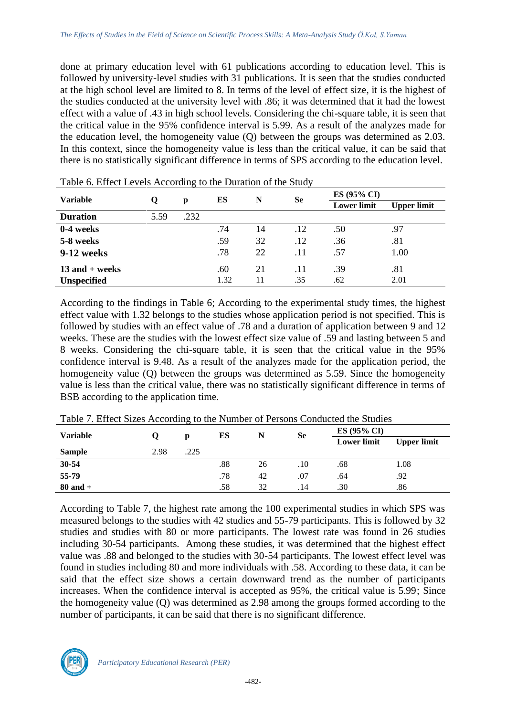done at primary education level with 61 publications according to education level. This is followed by university-level studies with 31 publications. It is seen that the studies conducted at the high school level are limited to 8. In terms of the level of effect size, it is the highest of the studies conducted at the university level with .86; it was determined that it had the lowest effect with a value of .43 in high school levels. Considering the chi-square table, it is seen that the critical value in the 95% confidence interval is 5.99. As a result of the analyzes made for the education level, the homogeneity value (Q) between the groups was determined as 2.03. In this context, since the homogeneity value is less than the critical value, it can be said that there is no statistically significant difference in terms of SPS according to the education level.

| Table 6. Effect Levels According to the Duration of the Study |      |      |      |    |           |                    |                    |  |  |  |  |
|---------------------------------------------------------------|------|------|------|----|-----------|--------------------|--------------------|--|--|--|--|
| <b>Variable</b>                                               | Q    |      | ES   | N  | <b>Se</b> | $ES(95\% CI)$      |                    |  |  |  |  |
|                                                               |      | p    |      |    |           | <b>Lower limit</b> | <b>Upper limit</b> |  |  |  |  |
| <b>Duration</b>                                               | 5.59 | .232 |      |    |           |                    |                    |  |  |  |  |
| 0-4 weeks                                                     |      |      | .74  | 14 | .12       | .50                | .97                |  |  |  |  |
| 5-8 weeks                                                     |      |      | .59  | 32 | .12       | .36                | .81                |  |  |  |  |
| 9-12 weeks                                                    |      |      | .78  | 22 | .11       | .57                | 1.00               |  |  |  |  |
| $13$ and $+$ weeks                                            |      |      | .60  | 21 | .11       | .39                | .81                |  |  |  |  |
| <b>Unspecified</b>                                            |      |      | 1.32 | 11 | .35       | .62                | 2.01               |  |  |  |  |

Table 6. Effect Levels According to the Duration of the Study

According to the findings in Table 6; According to the experimental study times, the highest effect value with 1.32 belongs to the studies whose application period is not specified. This is followed by studies with an effect value of .78 and a duration of application between 9 and 12 weeks. These are the studies with the lowest effect size value of .59 and lasting between 5 and 8 weeks. Considering the chi-square table, it is seen that the critical value in the 95% confidence interval is 9.48. As a result of the analyzes made for the application period, the homogeneity value (Q) between the groups was determined as 5.59. Since the homogeneity value is less than the critical value, there was no statistically significant difference in terms of BSB according to the application time.

| Twere it Entert Shoes I recording to the Fightion of I choons contented the Statics |      |      |     |    |     |                    |                    |  |  |  |
|-------------------------------------------------------------------------------------|------|------|-----|----|-----|--------------------|--------------------|--|--|--|
| <b>Variable</b>                                                                     |      | Ŋ    | ES  |    | Se  | $ES(95\% CI)$      |                    |  |  |  |
|                                                                                     |      |      |     |    |     | <b>Lower limit</b> | <b>Upper limit</b> |  |  |  |
| <b>Sample</b>                                                                       | 2.98 | .225 |     |    |     |                    |                    |  |  |  |
| $30 - 54$                                                                           |      |      | .88 | 26 | .10 | .68                | 1.08               |  |  |  |
| 55-79                                                                               |      |      | .78 | 42 | .07 | .64                | .92                |  |  |  |
| $80$ and $+$                                                                        |      |      | .58 | 32 | .14 | .30                | .86                |  |  |  |

Table 7. Effect Sizes According to the Number of Persons Conducted the Studies

According to Table 7, the highest rate among the 100 experimental studies in which SPS was measured belongs to the studies with 42 studies and 55-79 participants. This is followed by 32 studies and studies with 80 or more participants. The lowest rate was found in 26 studies including 30-54 participants. Among these studies, it was determined that the highest effect value was .88 and belonged to the studies with 30-54 participants. The lowest effect level was found in studies including 80 and more individuals with .58. According to these data, it can be said that the effect size shows a certain downward trend as the number of participants increases. When the confidence interval is accepted as 95%, the critical value is 5.99; Since the homogeneity value (Q) was determined as 2.98 among the groups formed according to the number of participants, it can be said that there is no significant difference.

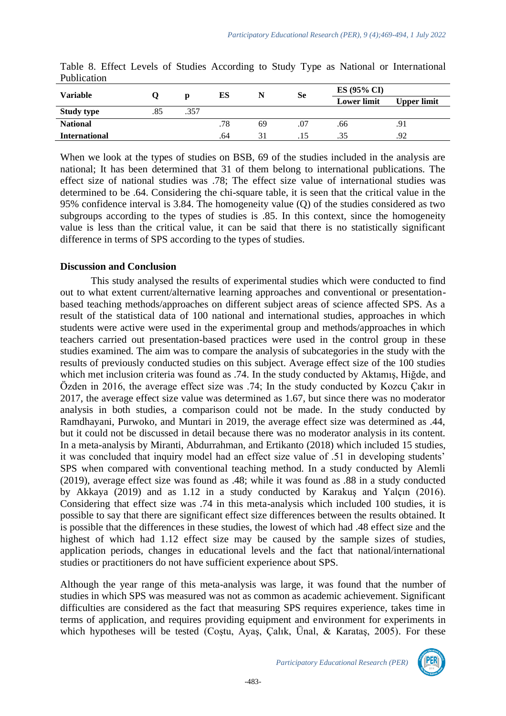| <b>Variable</b>      |     |      | ES  |    | Se  | $ES(95\% CI)$      |                    |  |
|----------------------|-----|------|-----|----|-----|--------------------|--------------------|--|
|                      |     |      |     |    |     | <b>Lower limit</b> | <b>Upper limit</b> |  |
| <b>Study type</b>    | .85 | .357 |     |    |     |                    |                    |  |
| <b>National</b>      |     |      | .78 | 69 | .07 | .66                | .91                |  |
| <b>International</b> |     |      | .64 | 31 |     | .35                | .92                |  |

Table 8. Effect Levels of Studies According to Study Type as National or International Publication

When we look at the types of studies on BSB, 69 of the studies included in the analysis are national; It has been determined that 31 of them belong to international publications. The effect size of national studies was .78; The effect size value of international studies was determined to be .64. Considering the chi-square table, it is seen that the critical value in the 95% confidence interval is 3.84. The homogeneity value (Q) of the studies considered as two subgroups according to the types of studies is .85. In this context, since the homogeneity value is less than the critical value, it can be said that there is no statistically significant difference in terms of SPS according to the types of studies.

### **Discussion and Conclusion**

This study analysed the results of experimental studies which were conducted to find out to what extent current/alternative learning approaches and conventional or presentationbased teaching methods/approaches on different subject areas of science affected SPS. As a result of the statistical data of 100 national and international studies, approaches in which students were active were used in the experimental group and methods/approaches in which teachers carried out presentation-based practices were used in the control group in these studies examined. The aim was to compare the analysis of subcategories in the study with the results of previously conducted studies on this subject. Average effect size of the 100 studies which met inclusion criteria was found as .74. In the study conducted by Aktamış, Hiğde, and Özden in 2016, the average effect size was .74; In the study conducted by Kozcu Çakır in 2017, the average effect size value was determined as 1.67, but since there was no moderator analysis in both studies, a comparison could not be made. In the study conducted by Ramdhayani, Purwoko, and Muntari in 2019, the average effect size was determined as .44, but it could not be discussed in detail because there was no moderator analysis in its content. In a meta-analysis by Miranti, Abdurrahman, and Ertikanto (2018) which included 15 studies, it was concluded that inquiry model had an effect size value of .51 in developing students' SPS when compared with conventional teaching method. In a study conducted by Alemli (2019), average effect size was found as .48; while it was found as .88 in a study conducted by Akkaya (2019) and as 1.12 in a study conducted by Karakuş and Yalçın (2016). Considering that effect size was .74 in this meta-analysis which included 100 studies, it is possible to say that there are significant effect size differences between the results obtained. It is possible that the differences in these studies, the lowest of which had .48 effect size and the highest of which had 1.12 effect size may be caused by the sample sizes of studies, application periods, changes in educational levels and the fact that national/international studies or practitioners do not have sufficient experience about SPS.

Although the year range of this meta-analysis was large, it was found that the number of studies in which SPS was measured was not as common as academic achievement. Significant difficulties are considered as the fact that measuring SPS requires experience, takes time in terms of application, and requires providing equipment and environment for experiments in which hypotheses will be tested (Coştu, Ayaş, Çalık, Ünal, & Karataş, 2005). For these

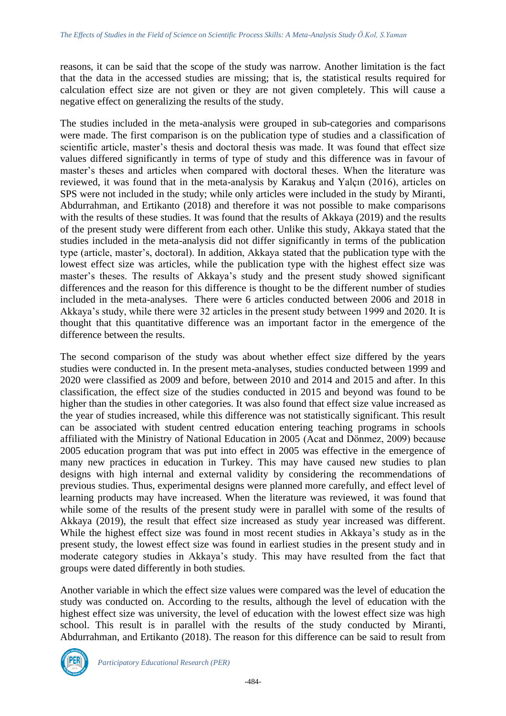reasons, it can be said that the scope of the study was narrow. Another limitation is the fact that the data in the accessed studies are missing; that is, the statistical results required for calculation effect size are not given or they are not given completely. This will cause a negative effect on generalizing the results of the study.

The studies included in the meta-analysis were grouped in sub-categories and comparisons were made. The first comparison is on the publication type of studies and a classification of scientific article, master's thesis and doctoral thesis was made. It was found that effect size values differed significantly in terms of type of study and this difference was in favour of master's theses and articles when compared with doctoral theses. When the literature was reviewed, it was found that in the meta-analysis by Karakuş and Yalçın (2016), articles on SPS were not included in the study; while only articles were included in the study by Miranti, Abdurrahman, and Ertikanto (2018) and therefore it was not possible to make comparisons with the results of these studies. It was found that the results of Akkaya (2019) and the results of the present study were different from each other. Unlike this study, Akkaya stated that the studies included in the meta-analysis did not differ significantly in terms of the publication type (article, master's, doctoral). In addition, Akkaya stated that the publication type with the lowest effect size was articles, while the publication type with the highest effect size was master's theses. The results of Akkaya's study and the present study showed significant differences and the reason for this difference is thought to be the different number of studies included in the meta-analyses. There were 6 articles conducted between 2006 and 2018 in Akkaya's study, while there were 32 articles in the present study between 1999 and 2020. It is thought that this quantitative difference was an important factor in the emergence of the difference between the results.

The second comparison of the study was about whether effect size differed by the years studies were conducted in. In the present meta-analyses, studies conducted between 1999 and 2020 were classified as 2009 and before, between 2010 and 2014 and 2015 and after. In this classification, the effect size of the studies conducted in 2015 and beyond was found to be higher than the studies in other categories. It was also found that effect size value increased as the year of studies increased, while this difference was not statistically significant. This result can be associated with student centred education entering teaching programs in schools affiliated with the Ministry of National Education in 2005 (Acat and Dönmez, 2009) because 2005 education program that was put into effect in 2005 was effective in the emergence of many new practices in education in Turkey. This may have caused new studies to plan designs with high internal and external validity by considering the recommendations of previous studies. Thus, experimental designs were planned more carefully, and effect level of learning products may have increased. When the literature was reviewed, it was found that while some of the results of the present study were in parallel with some of the results of Akkaya (2019), the result that effect size increased as study year increased was different. While the highest effect size was found in most recent studies in Akkaya's study as in the present study, the lowest effect size was found in earliest studies in the present study and in moderate category studies in Akkaya's study. This may have resulted from the fact that groups were dated differently in both studies.

Another variable in which the effect size values were compared was the level of education the study was conducted on. According to the results, although the level of education with the highest effect size was university, the level of education with the lowest effect size was high school. This result is in parallel with the results of the study conducted by Miranti, Abdurrahman, and Ertikanto (2018). The reason for this difference can be said to result from

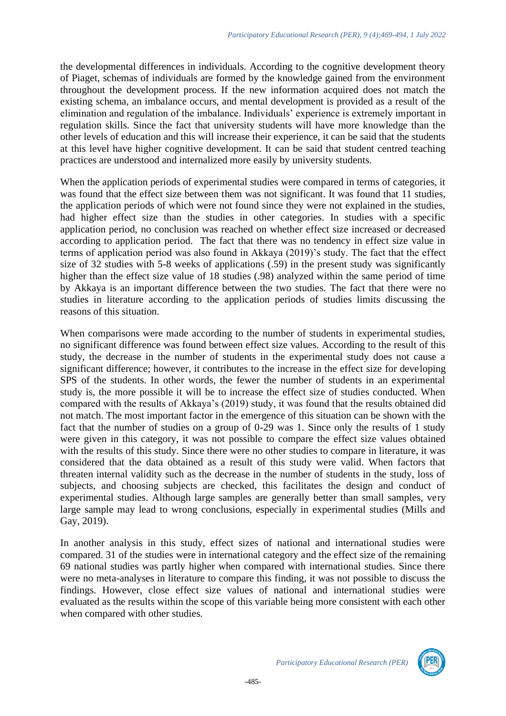the developmental differences in individuals. According to the cognitive development theory of Piaget, schemas of individuals are formed by the knowledge gained from the environment throughout the development process. If the new information acquired does not match the existing schema, an imbalance occurs, and mental development is provided as a result of the elimination and regulation of the imbalance. Individuals' experience is extremely important in regulation skills. Since the fact that university students will have more knowledge than the other levels of education and this will increase their experience, it can be said that the students at this level have higher cognitive development. It can be said that student centred teaching practices are understood and internalized more easily by university students.

When the application periods of experimental studies were compared in terms of categories, it was found that the effect size between them was not significant. It was found that 11 studies, the application periods of which were not found since they were not explained in the studies, had higher effect size than the studies in other categories. In studies with a specific application period, no conclusion was reached on whether effect size increased or decreased according to application period. The fact that there was no tendency in effect size value in terms of application period was also found in Akkaya (2019)'s study. The fact that the effect size of 32 studies with 5-8 weeks of applications (.59) in the present study was significantly higher than the effect size value of 18 studies (.98) analyzed within the same period of time by Akkaya is an important difference between the two studies. The fact that there were no studies in literature according to the application periods of studies limits discussing the reasons of this situation.

When comparisons were made according to the number of students in experimental studies, no significant difference was found between effect size values. According to the result of this study, the decrease in the number of students in the experimental study does not cause a significant difference; however, it contributes to the increase in the effect size for developing SPS of the students. In other words, the fewer the number of students in an experimental study is, the more possible it will be to increase the effect size of studies conducted. When compared with the results of Akkaya's (2019) study, it was found that the results obtained did not match. The most important factor in the emergence of this situation can be shown with the fact that the number of studies on a group of 0-29 was 1. Since only the results of 1 study were given in this category, it was not possible to compare the effect size values obtained with the results of this study. Since there were no other studies to compare in literature, it was considered that the data obtained as a result of this study were valid. When factors that threaten internal validity such as the decrease in the number of students in the study, loss of subjects, and choosing subjects are checked, this facilitates the design and conduct of experimental studies. Although large samples are generally better than small samples, very large sample may lead to wrong conclusions, especially in experimental studies (Mills and Gay, 2019).

In another analysis in this study, effect sizes of national and international studies were compared. 31 of the studies were in international category and the effect size of the remaining 69 national studies was partly higher when compared with international studies. Since there were no meta-analyses in literature to compare this finding, it was not possible to discuss the findings. However, close effect size values of national and international studies were evaluated as the results within the scope of this variable being more consistent with each other when compared with other studies.

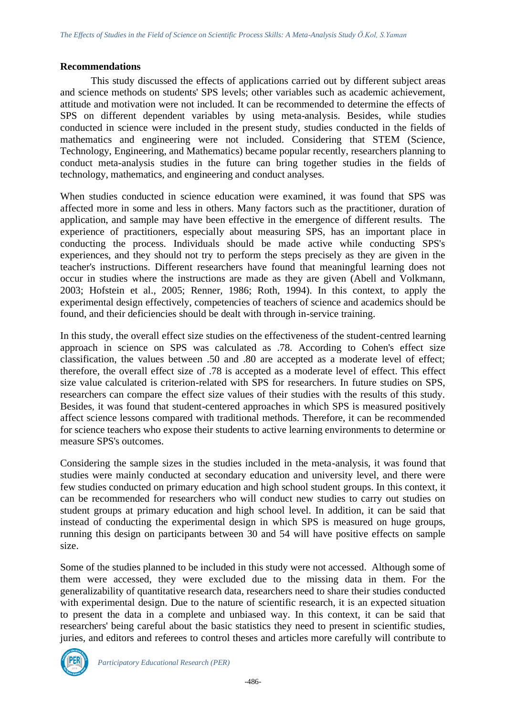#### **Recommendations**

This study discussed the effects of applications carried out by different subject areas and science methods on students' SPS levels; other variables such as academic achievement, attitude and motivation were not included. It can be recommended to determine the effects of SPS on different dependent variables by using meta-analysis. Besides, while studies conducted in science were included in the present study, studies conducted in the fields of mathematics and engineering were not included. Considering that STEM (Science, Technology, Engineering, and Mathematics) became popular recently, researchers planning to conduct meta-analysis studies in the future can bring together studies in the fields of technology, mathematics, and engineering and conduct analyses.

When studies conducted in science education were examined, it was found that SPS was affected more in some and less in others. Many factors such as the practitioner, duration of application, and sample may have been effective in the emergence of different results. The experience of practitioners, especially about measuring SPS, has an important place in conducting the process. Individuals should be made active while conducting SPS's experiences, and they should not try to perform the steps precisely as they are given in the teacher's instructions. Different researchers have found that meaningful learning does not occur in studies where the instructions are made as they are given (Abell and Volkmann, 2003; Hofstein et al., 2005; Renner, 1986; Roth, 1994). In this context, to apply the experimental design effectively, competencies of teachers of science and academics should be found, and their deficiencies should be dealt with through in-service training.

In this study, the overall effect size studies on the effectiveness of the student-centred learning approach in science on SPS was calculated as .78. According to Cohen's effect size classification, the values between .50 and .80 are accepted as a moderate level of effect; therefore, the overall effect size of .78 is accepted as a moderate level of effect. This effect size value calculated is criterion-related with SPS for researchers. In future studies on SPS, researchers can compare the effect size values of their studies with the results of this study. Besides, it was found that student-centered approaches in which SPS is measured positively affect science lessons compared with traditional methods. Therefore, it can be recommended for science teachers who expose their students to active learning environments to determine or measure SPS's outcomes.

Considering the sample sizes in the studies included in the meta-analysis, it was found that studies were mainly conducted at secondary education and university level, and there were few studies conducted on primary education and high school student groups. In this context, it can be recommended for researchers who will conduct new studies to carry out studies on student groups at primary education and high school level. In addition, it can be said that instead of conducting the experimental design in which SPS is measured on huge groups, running this design on participants between 30 and 54 will have positive effects on sample size.

Some of the studies planned to be included in this study were not accessed. Although some of them were accessed, they were excluded due to the missing data in them. For the generalizability of quantitative research data, researchers need to share their studies conducted with experimental design. Due to the nature of scientific research, it is an expected situation to present the data in a complete and unbiased way. In this context, it can be said that researchers' being careful about the basic statistics they need to present in scientific studies, juries, and editors and referees to control theses and articles more carefully will contribute to

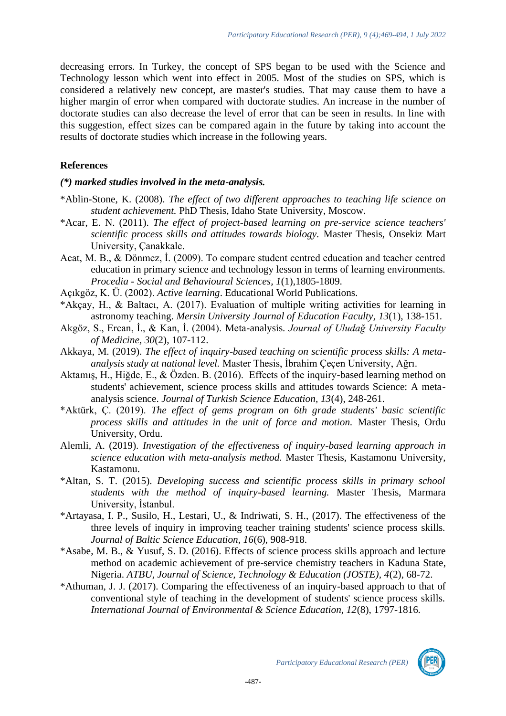decreasing errors. In Turkey, the concept of SPS began to be used with the Science and Technology lesson which went into effect in 2005. Most of the studies on SPS, which is considered a relatively new concept, are master's studies. That may cause them to have a higher margin of error when compared with doctorate studies. An increase in the number of doctorate studies can also decrease the level of error that can be seen in results. In line with this suggestion, effect sizes can be compared again in the future by taking into account the results of doctorate studies which increase in the following years.

#### **References**

### *(\*) marked studies involved in the meta-analysis.*

- \*Ablin-Stone, K. (2008). *The effect of two different approaches to teaching life science on student achievement.* PhD Thesis, Idaho State University, Moscow.
- \*Acar, E. N. (2011). *The effect of project-based learning on pre-service science teachers' scientific process skills and attitudes towards biology.* Master Thesis, Onsekiz Mart University, Çanakkale.
- Acat, M. B., & Dönmez, İ. (2009). To compare student centred education and teacher centred education in primary science and technology lesson in terms of learning environments. *Procedia - [Social and Behavioural Sciences,](https://www.researchgate.net/journal/Procedia-Social-and-Behavioral-Sciences-1877-0428) 1*(1),1805-1809.
- Açıkgöz, K. Ü. (2002). *Active learning*. Educational World Publications.
- \*Akçay, H., & Baltacı, A. (2017). Evaluation of multiple writing activities for learning in astronomy teaching. *Mersin University Journal of Education Faculty, 13*(1), 138-151.
- Akgöz, S., Ercan, İ., & Kan, İ. (2004). Meta-analysis. *Journal of Uludağ University Faculty of Medicine, 30*(2), 107-112.
- Akkaya, M. (2019). *The effect of inquiry-based teaching on scientific process skills: A metaanalysis study at national level.* Master Thesis, İbrahim Çeçen University, Ağrı.
- Aktamış, H., Hiğde, E., & Özden. B. (2016). Effects of the inquiry-based learning method on students' achievement, science process skills and attitudes towards Science: A metaanalysis science. *Journal of Turkish Science Education, 13*(4), 248-261.
- \*Aktürk, Ç. (2019). *The effect of gems program on 6th grade students' basic scientific process skills and attitudes in the unit of force and motion.* Master Thesis, Ordu University, Ordu.
- Alemli, A. (2019). *Investigation of the effectiveness of inquiry-based learning approach in science education with meta-analysis method.* Master Thesis, Kastamonu University, Kastamonu.
- \*Altan, S. T. (2015). *Developing success and scientific process skills in primary school students with the method of inquiry-based learning.* Master Thesis, Marmara University, İstanbul.
- \*Artayasa, I. P., Susilo, H., Lestari, U., & Indriwati, S. H., (2017). The effectiveness of the three levels of inquiry in improving teacher training students' science process skills. *Journal of Baltic Science Education, 16*(6), 908-918.
- \*Asabe, M. B., & Yusuf, S. D. (2016). Effects of science process skills approach and lecture method on academic achievement of pre-service chemistry teachers in Kaduna State, Nigeria. *ATBU, Journal of Science, Technology & Education (JOSTE), 4*(2), 68-72.
- \*Athuman, J. J. (2017). Comparing the effectiveness of an inquiry-based approach to that of conventional style of teaching in the development of students' science process skills. *International Journal of Environmental & Science Education, 12*(8), 1797-1816*.*

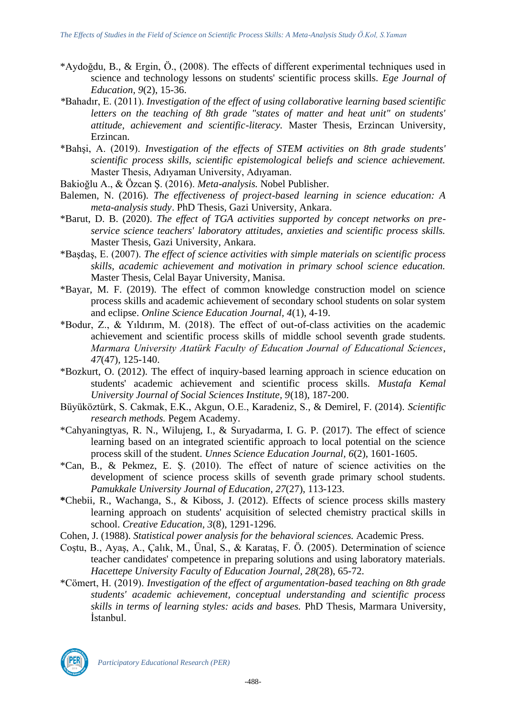- \*Aydoğdu, B., & Ergin, Ö., (2008). The effects of different experimental techniques used in science and technology lessons on students' scientific process skills. *Ege Journal of Education, 9*(2), 15-36.
- *\**Bahadır, E. (2011). *Investigation of the effect of using collaborative learning based scientific letters on the teaching of 8th grade "states of matter and heat unit" on students' attitude, achievement and scientific-literacy.* Master Thesis, Erzincan University, Erzincan.
- \*Bahşi, A. (2019). *Investigation of the effects of STEM activities on 8th grade students' scientific process skills, scientific epistemological beliefs and science achievement.* Master Thesis, Adıyaman University, Adıyaman.
- Bakioğlu A., & Özcan Ş. (2016). *Meta-analysis.* Nobel Publisher.
- Balemen, N. (2016). *The effectiveness of project-based learning in science education: A meta-analysis study*. PhD Thesis, Gazi University, Ankara.
- \*Barut, D. B. (2020). *The effect of TGA activities supported by concept networks on preservice science teachers' laboratory attitudes, anxieties and scientific process skills.* Master Thesis, Gazi University, Ankara.
- \*Başdaş, E. (2007). *The effect of science activities with simple materials on scientific process skills, academic achievement and motivation in primary school science education.*  Master Thesis, Celal Bayar University, Manisa.
- \*Bayar, M. F. (2019). The effect of common knowledge construction model on science process skills and academic achievement of secondary school students on solar system and eclipse. *Online Science Education Journal, 4*(1), 4-19.
- \*Bodur, Z., & Yıldırım, M. (2018). The effect of out-of-class activities on the academic achievement and scientific process skills of middle school seventh grade students. *Marmara University Atatürk Faculty of Education Journal of Educational Sciences*, *47*(47)*,* 125-140.
- \*Bozkurt, O. (2012). The effect of inquiry-based learning approach in science education on students' academic achievement and scientific process skills. *Mustafa Kemal University Journal of Social Sciences Institute, 9*(18), 187-200.
- Büyüköztürk, S. Cakmak, E.K., Akgun, O.E., Karadeniz, S., & Demirel, F. (2014). *Scientific research methods.* Pegem Academy.
- \*Cahyaningtyas, R. N., Wilujeng, I., & Suryadarma, I. G. P. (2017). The effect of science learning based on an integrated scientific approach to local potential on the science process skill of the student. *Unnes Science Education Journal, 6*(2), 1601-1605.
- \*Can, B., & Pekmez, E. Ş. (2010). The effect of nature of science activities on the development of science process skills of seventh grade primary school students. *Pamukkale University Journal of Education, 27*(27), 113-123.
- **\***Chebii, R., Wachanga, S., & Kiboss, J. (2012). Effects of science process skills mastery learning approach on students' acquisition of selected chemistry practical skills in school. *Creative Education, 3*(8), 1291-1296.
- Cohen, J. (1988). *Statistical power analysis for the behavioral sciences.* Academic Press.
- Coştu, B., Ayaş, A., Çalık, M., Ünal, S., & Karataş, F. Ö. (2005). Determination of science teacher candidates' competence in preparing solutions and using laboratory materials. *Hacettepe University Faculty of Education Journal, 28*(28), 65-72.
- \*Cömert, H. (2019). *Investigation of the effect of argumentation-based teaching on 8th grade students' academic achievement, conceptual understanding and scientific process skills in terms of learning styles: acids and bases.* PhD Thesis, Marmara University, İstanbul.

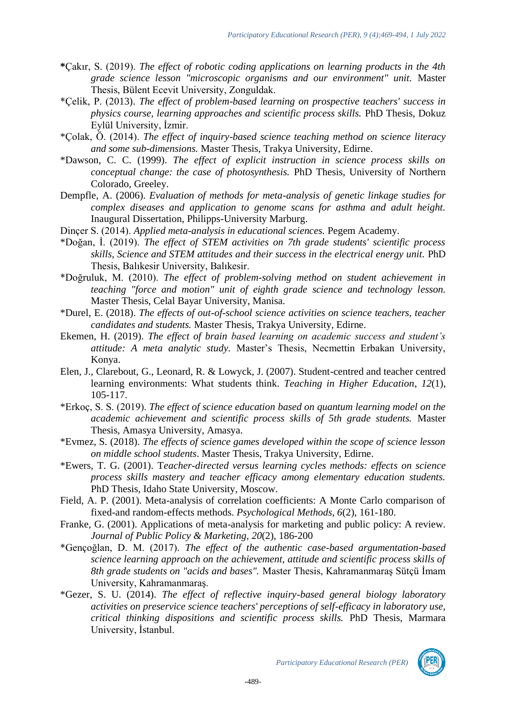- **\***Çakır, S. (2019). *The effect of robotic coding applications on learning products in the 4th grade science lesson "microscopic organisms and our environment" unit.* Master Thesis, Bülent Ecevit University, Zonguldak.
- \*Çelik, P. (2013). *The effect of problem-based learning on prospective teachers' success in physics course, learning approaches and scientific process skills.* PhD Thesis, Dokuz Eylül University, İzmir.
- \*Çolak, Ö. (2014). *The effect of inquiry-based science teaching method on science literacy and some sub-dimensions.* Master Thesis, Trakya University, Edirne.
- \*Dawson, C. C. (1999). *The effect of explicit instruction in science process skills on conceptual change: the case of photosynthesis.* PhD Thesis, University of Northern Colorado, Greeley.
- Dempfle, A. (2006). *Evaluation of methods for meta-analysis of genetic linkage studies for complex diseases and application to genome scans for asthma and adult height.* Inaugural Dissertation, Philipps-University Marburg.
- Dinçer S. (2014). *Applied meta-analysis in educational sciences.* Pegem Academy.
- \*Doğan, İ. (2019). *The effect of STEM activities on 7th grade students' scientific process skills, Science and STEM attitudes and their success in the electrical energy unit.* PhD Thesis, Balıkesir University, Balıkesir.
- \*Doğruluk, M. (2010). *The effect of problem-solving method on student achievement in teaching "force and motion" unit of eighth grade science and technology lesson.* Master Thesis, Celal Bayar University, Manisa.
- \*Durel, E. (2018). *The effects of out-of-school science activities on science teachers, teacher candidates and students.* Master Thesis, Trakya University, Edirne.
- Ekemen, H. (2019). *The effect of brain based learning on academic success and student's attitude: A meta analytic study.* Master's Thesis, Necmettin Erbakan University, Konya.
- Elen, J., Clarebout, G., Leonard, R. & Lowyck, J. (2007). Student-centred and teacher centred learning environments: What students think. *Teaching in Higher Education*, *12*(1), 105-117.
- \*Erkoç, S. S. (2019). *The effect of science education based on quantum learning model on the academic achievement and scientific process skills of 5th grade students.* Master Thesis, Amasya University, Amasya.
- \*Evmez, S. (2018). *The effects of science games developed within the scope of science lesson on middle school students*. Master Thesis, Trakya University, Edirne.
- \*Ewers, T. G. (2001). T*eacher-directed versus learning cycles methods: effects on science process skills mastery and teacher efficacy among elementary education students.*  PhD Thesis, Idaho State University, Moscow.
- Field, A. P. (2001). Meta-analysis of correlation coefficients: A Monte Carlo comparison of fixed-and random-effects methods. *Psychological Methods, 6*(2), 161-180.
- Franke, G. (2001). Applications of meta-analysis for marketing and public policy: A review. *Journal of Public Policy & Marketing, 20*(2), 186-200
- \*Gençoğlan, D. M. (2017). *The effect of the authentic case-based argumentation-based science learning approach on the achievement, attitude and scientific process skills of 8th grade students on "acids and bases".* Master Thesis, Kahramanmaraş Sütçü İmam University, Kahramanmaraş.
- \*Gezer, S. U. (2014). *The effect of reflective inquiry-based general biology laboratory activities on preservice science teachers' perceptions of self-efficacy in laboratory use, critical thinking dispositions and scientific process skills.* PhD Thesis, Marmara University, İstanbul.

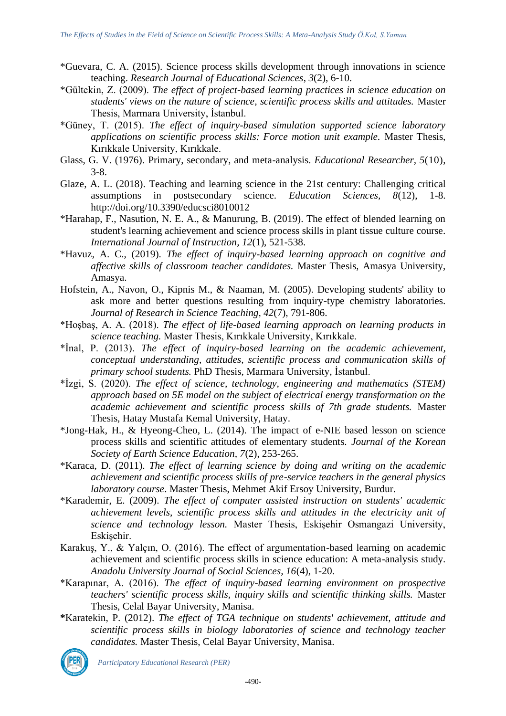- \*Guevara, C. A. (2015). Science process skills development through innovations in science teaching. *Research Journal of Educational Sciences*, *3*(2), 6-10.
- \*Gültekin, Z. (2009). *The effect of project-based learning practices in science education on students' views on the nature of science, scientific process skills and attitudes.* Master Thesis, Marmara University, İstanbul.
- \*Güney, T. (2015). *The effect of inquiry-based simulation supported science laboratory applications on scientific process skills: Force motion unit example.* Master Thesis, Kırıkkale University, Kırıkkale.
- Glass, G. V. (1976). Primary, secondary, and meta-analysis. *Educational Researcher, 5*(10), 3-8.
- Glaze, A. L. (2018). Teaching and learning science in the 21st century: Challenging critical assumptions in postsecondary science. *Education Sciences, 8*(12), 1-8. http://doi.org/10.3390/educsci8010012
- \*Harahap, F., Nasution, N. E. A., & Manurung, B. (2019). The effect of blended learning on student's learning achievement and science process skills in plant tissue culture course. *International Journal of Instruction, 12*(1), 521-538.
- \*Havuz, A. C., (2019). *The effect of inquiry-based learning approach on cognitive and affective skills of classroom teacher candidates.* Master Thesis, Amasya University, Amasya.
- Hofstein, A., Navon, O., Kipnis M., & Naaman, M. (2005). Developing students' ability to ask more and better questions resulting from inquiry-type chemistry laboratories. *Journal of Research in Science Teaching, 42*(7), 791-806.
- \*Hoşbaş, A. A. (2018). *The effect of life-based learning approach on learning products in science teaching.* Master Thesis, Kırıkkale University, Kırıkkale.
- \*İnal, P. (2013). *The effect of inquiry-based learning on the academic achievement, conceptual understanding, attitudes, scientific process and communication skills of primary school students.* PhD Thesis, Marmara University, İstanbul.
- \*İzgi, S. (2020). *The effect of science, technology, engineering and mathematics (STEM) approach based on 5E model on the subject of electrical energy transformation on the academic achievement and scientific process skills of 7th grade students.* Master Thesis, Hatay Mustafa Kemal University, Hatay.
- \*Jong-Hak, H., & Hyeong-Cheo, L. (2014). The impact of e-NIE based lesson on science process skills and scientific attitudes of elementary students. *Journal of the Korean Society of Earth Science Education, 7*(2), 253-265.
- \*Karaca, D. (2011). *The effect of learning science by doing and writing on the academic achievement and scientific process skills of pre-service teachers in the general physics laboratory course*. Master Thesis, Mehmet Akif Ersoy University, Burdur.
- \*Karademir, E. (2009). *The effect of computer assisted instruction on students' academic achievement levels, scientific process skills and attitudes in the electricity unit of science and technology lesson.* Master Thesis, Eskişehir Osmangazi University, Eskişehir.
- Karakuş, Y., & Yalçın, O. (2016). The effect of argumentation-based learning on academic achievement and scientific process skills in science education: A meta-analysis study. *Anadolu University Journal of Social Sciences, 16*(4), 1-20.
- \*Karapınar, A. (2016). *The effect of inquiry-based learning environment on prospective teachers' scientific process skills, inquiry skills and scientific thinking skills.* Master Thesis, Celal Bayar University, Manisa.
- **\***Karatekin, P. (2012). *The effect of TGA technique on students' achievement, attitude and scientific process skills in biology laboratories of science and technology teacher candidates.* Master Thesis, Celal Bayar University, Manisa.



*Participatory Educational Research (PER)*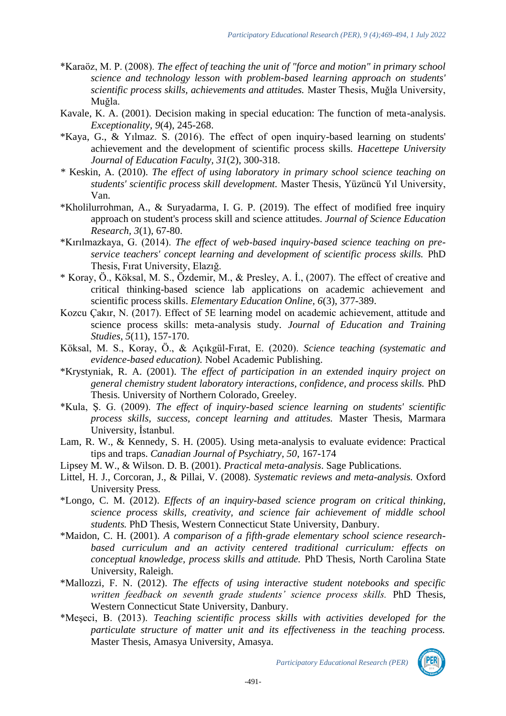- \*Karaöz, M. P. (2008). *The effect of teaching the unit of "force and motion" in primary school science and technology lesson with problem-based learning approach on students' scientific process skills, achievements and attitudes.* Master Thesis, Muğla University, Muğla.
- Kavale, K. A. (2001). Decision making in special education: The function of meta-analysis. *Exceptionality, 9*(4), 245-268.
- \*Kaya, G., & Yılmaz. S. (2016). The effect of open inquiry-based learning on students' achievement and the development of scientific process skills. *Hacettepe University Journal of Education Faculty, 31*(2), 300-318.
- *\** Keskin, A. (2010). *The effect of using laboratory in primary school science teaching on students' scientific process skill development.* Master Thesis, Yüzüncü Yıl University, Van.
- \*Kholilurrohman, A., & Suryadarma, I. G. P. (2019). The effect of modified free inquiry approach on student's process skill and science attitudes. *Journal of Science Education Research, 3*(1), 67-80.
- \*Kırılmazkaya, G. (2014). *The effect of web-based inquiry-based science teaching on preservice teachers' concept learning and development of scientific process skills.* PhD Thesis, Fırat University, Elazığ.
- \* Koray, Ö., Köksal, M. S., Özdemir, M., & Presley, A. İ., (2007). The effect of creative and critical thinking-based science lab applications on academic achievement and scientific process skills. *Elementary Education Online, 6*(3), 377-389.
- Kozcu Çakır, N. (2017). Effect of 5E learning model on academic achievement, attitude and science process skills: meta-analysis study. *Journal of Education and Training Studies, 5*(11), 157-170.
- Köksal, M. S., Koray, Ö., & Açıkgül-Fırat, E. (2020). *Science teaching (systematic and evidence-based education).* Nobel Academic Publishing.
- \*Krystyniak, R. A. (2001). T*he effect of participation in an extended inquiry project on general chemistry student laboratory interactions, confidence, and process skills.* PhD Thesis. University of Northern Colorado, Greeley.
- \*Kula, Ş. G. (2009). *The effect of inquiry-based science learning on students' scientific process skills, success, concept learning and attitudes.* Master Thesis, Marmara University, İstanbul.
- Lam, R. W., & Kennedy, S. H. (2005). Using meta-analysis to evaluate evidence: Practical tips and traps. *Canadian Journal of Psychiatry, 50*, 167-174
- Lipsey M. W., & Wilson. D. B. (2001). *Practical meta-analysis*. Sage Publications.
- Littel, H. J., Corcoran, J., & Pillai, V. (2008). *Systematic reviews and meta-analysis.* Oxford University Press.
- \*Longo, C. M. (2012). *Effects of an inquiry-based science program on critical thinking, science process skills, creativity, and science fair achievement of middle school students.* PhD Thesis, Western Connecticut State University, Danbury.
- \*Maidon, C. H. (2001). *A comparison of a fifth-grade elementary school science researchbased curriculum and an activity centered traditional curriculum: effects on conceptual knowledge, process skills and attitude.* PhD Thesis, North Carolina State University, Raleigh.
- \*Mallozzi, F. N. (2012). *The effects of using interactive student notebooks and specific written feedback on seventh grade students' science process skills.* PhD Thesis, Western Connecticut State University, Danbury.
- \*Meşeci, B. (2013). *Teaching scientific process skills with activities developed for the particulate structure of matter unit and its effectiveness in the teaching process.* Master Thesis, Amasya University, Amasya.

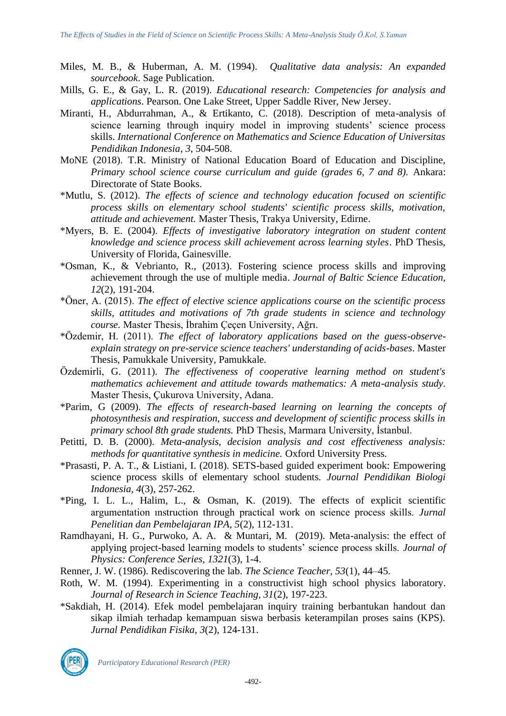- Miles, M. B., & Huberman, A. M. (1994). *Qualitative data analysis: An expanded sourcebook*. Sage Publication.
- Mills, G. E., & Gay, L. R. (2019). *Educational research: Competencies for analysis and applications*. Pearson. One Lake Street, Upper Saddle River, New Jersey.
- Miranti, H., Abdurrahman, A., & Ertikanto, C. (2018). Description of meta-analysis of science learning through inquiry model in improving students' science process skills. *International Conference on Mathematics and Science Education of Universitas Pendidikan Indonesia*, *3*, 504-508.
- MoNE (2018). T.R. Ministry of National Education Board of Education and Discipline, *Primary school science course curriculum and guide (grades 6, 7 and 8).* Ankara: Directorate of State Books.
- \*Mutlu, S. (2012). *The effects of science and technology education focused on scientific process skills on elementary school students' scientific process skills, motivation, attitude and achievement.* Master Thesis, Trakya University, Edirne.
- \*Myers, B. E. (2004). *Effects of investigative laboratory integration on student content knowledge and science process skill achievement across learning styles*. PhD Thesis, University of Florida, Gainesville.
- \*Osman, K., & Vebrianto, R., (2013). Fostering science process skills and improving achievement through the use of multiple media. *Journal of Baltic Science Education, 12*(2), 191-204.
- \*Öner, A. (2015). *The effect of elective science applications course on the scientific process skills, attitudes and motivations of 7th grade students in science and technology course.* Master Thesis, İbrahim Çeçen University, Ağrı.
- \*Özdemir, H. (2011). *The effect of laboratory applications based on the guess-observeexplain strategy on pre-service science teachers' understanding of acids-bases*. Master Thesis, Pamukkale University, Pamukkale.
- Özdemirli, G. (2011). *The effectiveness of cooperative learning method on student's mathematics achievement and attitude towards mathematics: A meta-analysis study.* Master Thesis, Çukurova University, Adana.
- \*Parim, G (2009). *The effects of research-based learning on learning the concepts of photosynthesis and respiration, success and development of scientific process skills in primary school 8th grade students.* PhD Thesis, Marmara University, İstanbul.
- Petitti, D. B. (2000). *Meta-analysis, decision analysis and cost effectiveness analysis: methods for quantitative synthesis in medicine.* Oxford University Press.
- \*Prasasti, P. A. T., & Listiani, I. (2018). SETS-based guided experiment book: Empowering science process skills of elementary school students. *Journal Pendidikan Biologi Indonesia, 4*(3), 257-262.
- \*Ping, I. L. L., Halim, L., & Osman, K. (2019). The effects of explicit scientific argumentation ınstruction through practical work on science process skills. *Jurnal Penelitian dan Pembelajaran IPA, 5*(2), 112-131.
- Ramdhayani, H. G., Purwoko, A. A. & Muntari, M. (2019). Meta-analysis: the effect of applying project-based learning models to students' science process skills. *Journal of Physics: Conference Series, [1321](https://iopscience.iop.org/volume/1742-6596/1321)*[\(3\)](https://iopscience.iop.org/issue/1742-6596/1321/3), 1-4.
- Renner, J. W. (1986). Rediscovering the lab. *The Science Teacher, 53*(1), 44–45.
- Roth, W. M. (1994). Experimenting in a constructivist high school physics laboratory. *Journal of Research in Science Teaching, 31*(2), 197-223.
- \*Sakdiah, H. (2014). Efek model pembelajaran inquiry training berbantukan handout dan sikap ilmiah terhadap kemampuan siswa berbasis keterampilan proses sains (KPS). *Jurnal Pendidikan Fisika, 3*(2), 124-131.



*Participatory Educational Research (PER)*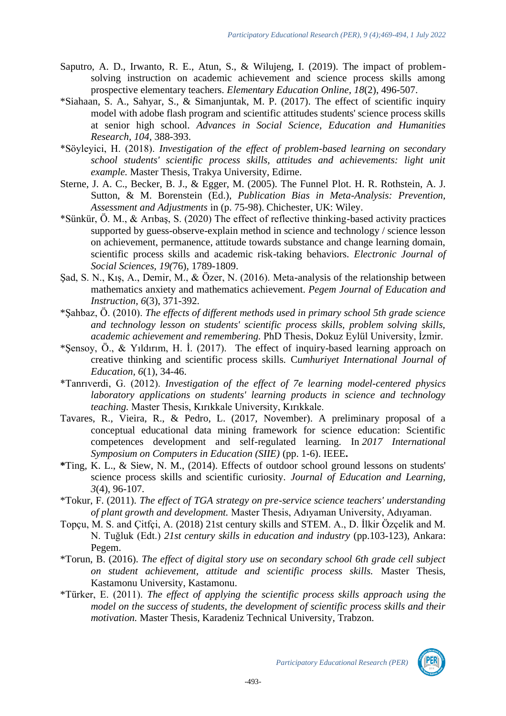- Saputro, A. D., Irwanto, R. E., Atun, S., & Wilujeng, I. (2019). The impact of problemsolving instruction on academic achievement and science process skills among prospective elementary teachers. *Elementary Education Online, 18*(2), 496-507.
- \*Siahaan, S. A., Sahyar, S., & Simanjuntak, M. P. (2017). The effect of scientific inquiry model with adobe flash program and scientific attitudes students' science process skills at senior high school. *Advances in Social Science, Education and Humanities Research, 104,* 388-393.
- \*Söyleyici, H. (2018). *Investigation of the effect of problem-based learning on secondary school students' scientific process skills, attitudes and achievements: light unit example.* Master Thesis, Trakya University, Edirne.
- Sterne, J. A. C., Becker, B. J., & Egger, M. (2005). The Funnel Plot. H. R. Rothstein, A. J. Sutton, & M. Borenstein (Ed.), *Publication Bias in Meta-Analysis: Prevention, Assessment and Adjustments* in (p. 75-98). Chichester, UK: Wiley.
- \*Sünkür, Ö. M., & Arıbaş, S. (2020) The effect of reflective thinking-based activity practices supported by guess-observe-explain method in science and technology / science lesson on achievement, permanence, attitude towards substance and change learning domain, scientific process skills and academic risk-taking behaviors. *Electronic Journal of Social Sciences, 19(*76), 1789-1809.
- Şad, S. N., Kış, A., Demir, M., & Özer, N. (2016). Meta-analysis of the relationship between mathematics anxiety and mathematics achievement. *Pegem Journal of Education and Instruction*, *6*(3), 371-392.
- \*Şahbaz, Ö. (2010). *The effects of different methods used in primary school 5th grade science and technology lesson on students' scientific process skills, problem solving skills, academic achievement and remembering.* PhD Thesis, Dokuz Eylül University, İzmir.
- \*Şensoy, Ö., & Yıldırım, H. İ. (2017). The effect of inquiry-based learning approach on creative thinking and scientific process skills. C*umhuriyet International Journal of Education, 6*(1), 34-46.
- \*Tanrıverdi, G. (2012). *Investigation of the effect of 7e learning model-centered physics laboratory applications on students' learning products in science and technology teaching.* Master Thesis, Kırıkkale University, Kırıkkale.
- Tavares, R., Vieira, R., & Pedro, L. (2017, November). A preliminary proposal of a conceptual educational data mining framework for science education: Scientific competences development and self-regulated learning. In *2017 International Symposium on Computers in Education (SIIE)* (pp. 1-6). IEEE**.**
- **\***Ting, K. L., & Siew, N. M., (2014). Effects of outdoor school ground lessons on students' science process skills and scientific curiosity. *Journal of Education and Learning, 3*(4), 96-107.
- \*Tokur, F. (2011). *The effect of TGA strategy on pre-service science teachers' understanding of plant growth and development.* Master Thesis, Adıyaman University, Adıyaman.
- Topçu, M. S. and Çitfçi, A. (2018) 21st century skills and STEM. A., D. İlkir Özçelik and M. N. Tuğluk (Edt.) *21st century skills in education and industry* (pp.103-123), Ankara: Pegem.
- \*Torun, B. (2016). *The effect of digital story use on secondary school 6th grade cell subject on student achievement, attitude and scientific process skills.* Master Thesis, Kastamonu University, Kastamonu.
- \*Türker, E. (2011). *The effect of applying the scientific process skills approach using the model on the success of students, the development of scientific process skills and their motivation.* Master Thesis, Karadeniz Technical University, Trabzon.